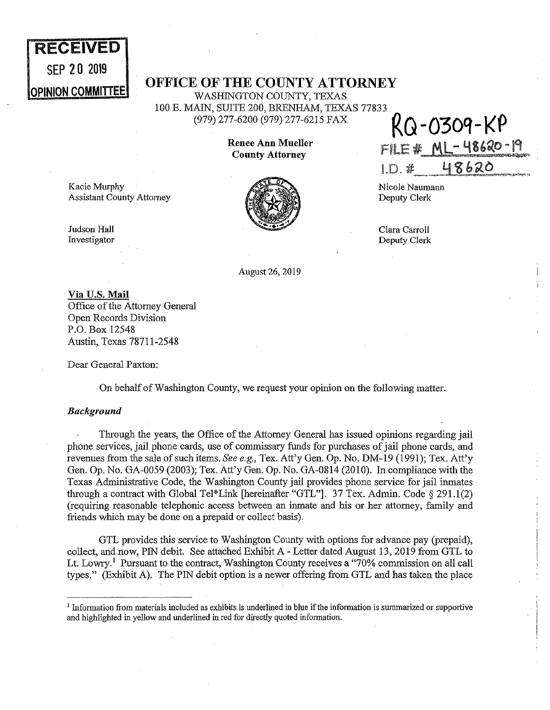# **RECEIVED**  SEP 20 2019

## **OPINION COMMITTEE OF THE COUNTY ATTORNEY**

WASHINGTON COUNTY, TEXAS 100 E. MAIN, SUITE 200, BRENHAM, TEXAS 77833<br>(979) 277-6200 (979) 277-6215 FAX

Kacie Murphy Assistant County Attorney



(979) 277-6200 (979) 277-6215 FAX **RG-030't-KP**  Renee Ann Mueller **FILE \* ML-48620-19**  $1. D.$   $*$   $48620$ 

Nicole Naumann Deputy Clerk

Clara Carroll Deputy Clerk

Judson Hall Investigator

August 26, 2019

· **Via U.S. Mail**  Office of the Attorney General Open Records Division P.O. Box 12548 Austin, Texas 78711-2548

Dear General Paxton:

On behalf of Washington County, we request your opinion on the following matter.

### *Background*

Through the years, the Office of the Attorney General has issued opinions regarding jail phone services, jail phone cards, use of commissary funds for purchases of jail phone cards, and revenues from the sale of such items. *See e.g.,* Tex. Att'y Gen. Op. No. DM-19 (1991); Tex. Att'y Gen. Op. No. GA-0059 (2003); Tex. Att'y Gen. Op. No. GA-0814 (2010). In compliance with the Texas Administrative Code, the Washington County jail provides phone service for jail inmates through a contract with Global Tel\*Link [hereinafter "GTL"]. 37 Tex. Admin. Code § 291.1(2) (requiring reasonable telephonic access between an inmate and his or her attorney, family and friends which may be done on a prepaid or collect basis).

GTL provides this service to Washington County with options for advance pay (prepaid), collect, and now, PIN debit. See attached Exhibit A- Letter dated August 13, 2019 from GTL to Lt. Lowry.<sup>1</sup> Pursuant to the contract, Washington County receives a "70% commission on all call types." (Exhibit A). The PIN debit option is a newer offering from GTL and has taken the place

 $<sup>1</sup>$  Information from materials included as exhibits is underlined in blue if the information is summarized or supportive</sup> and highlighted in yellow and underlined in red for directly quoted infonnation.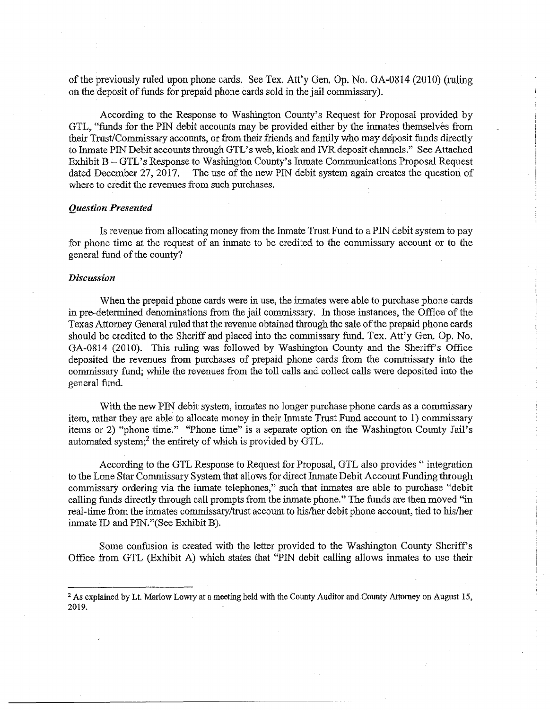of the previously ruled upon phone cards. See Tex. Att'y Gen, Op. No. GA-0814 (2010) (ruling on the deposit of funds for prepaid phone cards sold in the jail commissary).

According to the Response to Washington County's Request for Proposal provided by GTL, "funds for the PIN debit accounts may be provided either by the inmates themselves from their Trust/Commissary accounts, or from their friends and family who may deposit funds directly to Inmate PIN Debit accounts through GTL's web, kiosk and IVR deposit channels." See Attached Exhibit B – GTL's Response to Washington County's Inmate Communications Proposal Request dated December 27, 2017. The use of the new PIN debit system again creates the question of The use of the new PIN debit system again creates the question of where to credit the revenues from such purchases.

#### *Question Presented*

Is revenue from allocating money from the Inmate Trust Fund to a PIN debit system to pay for phone time at the request of an inmate to be credited to the commissary account or to the general fund of the county?

#### *Discussion*

When the prepaid phone cards were in use, the inmates were able to purchase phone cards in pre-determined denominations from the jail commissary. In those instances, the Office of the Texas Attorney General ruled that the revenue obtained through the sale of the prepaid phone cards should be credited to the Sheriff and placed into the commissary fund. Tex. Att'y Gen. Op. No. GA-0814 (2010). This ruling was followed by Washington County and the Sheriff's Office deposited the revenues from purchases of prepaid phone cards from the commissary into the commissary fund; while the revenues from the toll calls and collect calls were deposited into the general fund.

With the new PIN debit system, inmates no longer purchase phone cards as a commissary item, rather they are able to allocate money in their Inmate Trust Fund account to 1) commissary items or 2) "phone time." "Phone time" is a separate option on the Washington County Jail's automated system;<sup>2</sup> the entirety of which is provided by GTL.

According to the GTL Response to Request for Proposal, GTL also provides " integration to the Lone Star Commissary System that allows for direct Inmate Debit Account Funding through commissary ordering via the inmate telephones," such that inmates are able to purchase "debit calling funds directly through call prompts from the inmate phone." The funds are then moved "in real-time from the inmates commissary/trust account to his/her debit phone account, tied to his/her inmate ID and PIN."(See Exhibit B).

Some confusion is created with the letter provided to the Washington County Sheriff's Office from GTL (Exhibit A) which states that "PIN debit calling allows inmates to use their

<sup>&</sup>lt;sup>2</sup> As explained by Lt. Marlow Lowry at a meeting held with the County Auditor and County Attorney on August 15, 2019.